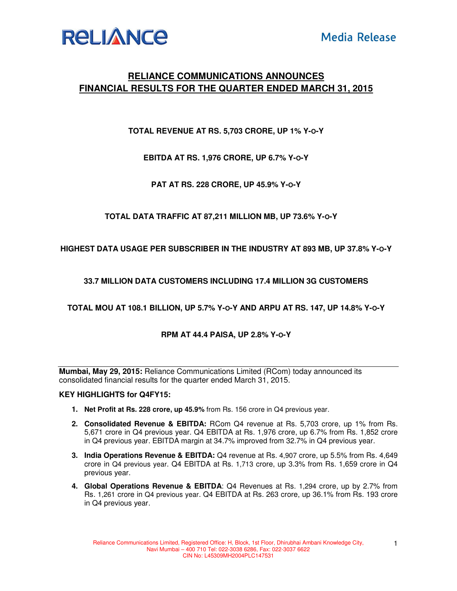

# **RELIANCE COMMUNICATIONS ANNOUNCES FINANCIAL RESULTS FOR THE QUARTER ENDED MARCH 31, 2015**

**TOTAL REVENUE AT RS. 5,703 CRORE, UP 1% Y-O-Y** 

**EBITDA AT RS. 1,976 CRORE, UP 6.7% Y-O-Y** 

**PAT AT RS. 228 CRORE, UP 45.9% Y-O-Y** 

**TOTAL DATA TRAFFIC AT 87,211 MILLION MB, UP 73.6% Y-O-Y** 

**HIGHEST DATA USAGE PER SUBSCRIBER IN THE INDUSTRY AT 893 MB, UP 37.8% Y-O-Y** 

**33.7 MILLION DATA CUSTOMERS INCLUDING 17.4 MILLION 3G CUSTOMERS** 

**TOTAL MOU AT 108.1 BILLION, UP 5.7% Y-O-Y AND ARPU AT RS. 147, UP 14.8% Y-O-Y** 

## **RPM AT 44.4 PAISA, UP 2.8% Y-O-Y**

**Mumbai, May 29, 2015:** Reliance Communications Limited (RCom) today announced its consolidated financial results for the quarter ended March 31, 2015.

#### **KEY HIGHLIGHTS for Q4FY15:**

- **1. Net Profit at Rs. 228 crore, up 45.9%** from Rs. 156 crore in Q4 previous year.
- **2. Consolidated Revenue & EBITDA:** RCom Q4 revenue at Rs. 5,703 crore, up 1% from Rs. 5,671 crore in Q4 previous year. Q4 EBITDA at Rs. 1,976 crore, up 6.7% from Rs. 1,852 crore in Q4 previous year. EBITDA margin at 34.7% improved from 32.7% in Q4 previous year.
- **3. India Operations Revenue & EBITDA:** Q4 revenue at Rs. 4,907 crore, up 5.5% from Rs. 4,649 crore in Q4 previous year. Q4 EBITDA at Rs. 1,713 crore, up 3.3% from Rs. 1,659 crore in Q4 previous year.
- **4. Global Operations Revenue & EBITDA**: Q4 Revenues at Rs. 1,294 crore, up by 2.7% from Rs. 1,261 crore in Q4 previous year. Q4 EBITDA at Rs. 263 crore, up 36.1% from Rs. 193 crore in Q4 previous year.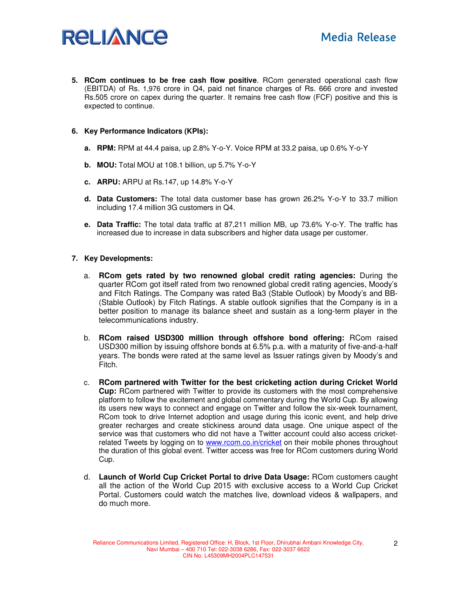

**5. RCom continues to be free cash flow positive**. RCom generated operational cash flow (EBITDA) of Rs. 1,976 crore in Q4, paid net finance charges of Rs. 666 crore and invested Rs.505 crore on capex during the quarter. It remains free cash flow (FCF) positive and this is expected to continue.

#### **6. Key Performance Indicators (KPIs):**

- **a. RPM:** RPM at 44.4 paisa, up 2.8% Y-o-Y. Voice RPM at 33.2 paisa, up 0.6% Y-o-Y
- **b. MOU:** Total MOU at 108.1 billion, up 5.7% Y-o-Y
- **c. ARPU:** ARPU at Rs.147, up 14.8% Y-o-Y
- **d. Data Customers:** The total data customer base has grown 26.2% Y-o-Y to 33.7 million including 17.4 million 3G customers in Q4.
- **e. Data Traffic:** The total data traffic at 87,211 million MB, up 73.6% Y-o-Y. The traffic has increased due to increase in data subscribers and higher data usage per customer.

### **7. Key Developments:**

- a. **RCom gets rated by two renowned global credit rating agencies:** During the quarter RCom got itself rated from two renowned global credit rating agencies, Moody's and Fitch Ratings. The Company was rated Ba3 (Stable Outlook) by Moody's and BB- (Stable Outlook) by Fitch Ratings. A stable outlook signifies that the Company is in a better position to manage its balance sheet and sustain as a long-term player in the telecommunications industry.
- b. **RCom raised USD300 million through offshore bond offering:** RCom raised USD300 million by issuing offshore bonds at 6.5% p.a. with a maturity of five-and-a-half years. The bonds were rated at the same level as Issuer ratings given by Moody's and Fitch.
- c. **RCom partnered with Twitter for the best cricketing action during Cricket World Cup:** RCom partnered with Twitter to provide its customers with the most comprehensive platform to follow the excitement and global commentary during the World Cup. By allowing its users new ways to connect and engage on Twitter and follow the six-week tournament, RCom took to drive Internet adoption and usage during this iconic event, and help drive greater recharges and create stickiness around data usage. One unique aspect of the service was that customers who did not have a Twitter account could also access cricketrelated Tweets by logging on to **www.rcom.co.in/cricket** on their mobile phones throughout the duration of this global event. Twitter access was free for RCom customers during World Cup.
- d. **Launch of World Cup Cricket Portal to drive Data Usage:** RCom customers caught all the action of the World Cup 2015 with exclusive access to a World Cup Cricket Portal. Customers could watch the matches live, download videos & wallpapers, and do much more.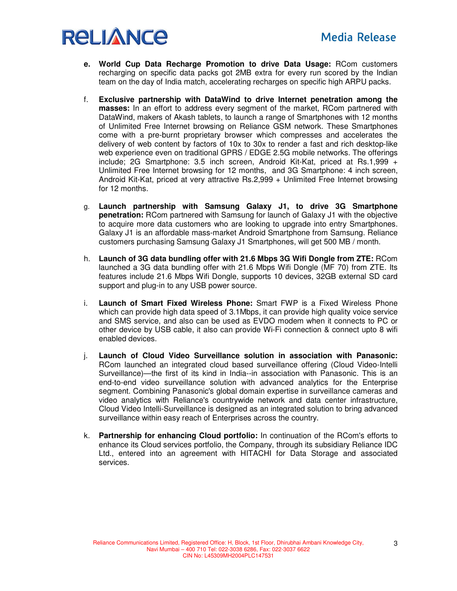

- **e. World Cup Data Recharge Promotion to drive Data Usage:** RCom customers recharging on specific data packs got 2MB extra for every run scored by the Indian team on the day of India match, accelerating recharges on specific high ARPU packs.
- f. **Exclusive partnership with DataWind to drive Internet penetration among the masses:** In an effort to address every segment of the market, RCom partnered with DataWind, makers of Akash tablets, to launch a range of Smartphones with 12 months of Unlimited Free Internet browsing on Reliance GSM network. These Smartphones come with a pre-burnt proprietary browser which compresses and accelerates the delivery of web content by factors of 10x to 30x to render a fast and rich desktop-like web experience even on traditional GPRS / EDGE 2.5G mobile networks. The offerings include; 2G Smartphone: 3.5 inch screen, Android Kit-Kat, priced at Rs.1,999 + Unlimited Free Internet browsing for 12 months, and 3G Smartphone: 4 inch screen, Android Kit-Kat, priced at very attractive Rs.2,999 + Unlimited Free Internet browsing for 12 months.
- g. **Launch partnership with Samsung Galaxy J1, to drive 3G Smartphone penetration:** RCom partnered with Samsung for launch of Galaxy J1 with the objective to acquire more data customers who are looking to upgrade into entry Smartphones. Galaxy J1 is an affordable mass-market Android Smartphone from Samsung. Reliance customers purchasing Samsung Galaxy J1 Smartphones, will get 500 MB / month.
- h. **Launch of 3G data bundling offer with 21.6 Mbps 3G Wifi Dongle from ZTE:** RCom launched a 3G data bundling offer with 21.6 Mbps Wifi Dongle (MF 70) from ZTE. Its features include 21.6 Mbps Wifi Dongle, supports 10 devices, 32GB external SD card support and plug-in to any USB power source.
- i. **Launch of Smart Fixed Wireless Phone:** Smart FWP is a Fixed Wireless Phone which can provide high data speed of 3.1Mbps, it can provide high quality voice service and SMS service, and also can be used as EVDO modem when it connects to PC or other device by USB cable, it also can provide Wi-Fi connection & connect upto 8 wifi enabled devices.
- j. **Launch of Cloud Video Surveillance solution in association with Panasonic:**  RCom launched an integrated cloud based surveillance offering (Cloud Video-Intelli Surveillance)—the first of its kind in India--in association with Panasonic. This is an end-to-end video surveillance solution with advanced analytics for the Enterprise segment. Combining Panasonic's global domain expertise in surveillance cameras and video analytics with Reliance's countrywide network and data center infrastructure, Cloud Video Intelli-Surveillance is designed as an integrated solution to bring advanced surveillance within easy reach of Enterprises across the country.
- k. **Partnership for enhancing Cloud portfolio:** In continuation of the RCom's efforts to enhance its Cloud services portfolio, the Company, through its subsidiary Reliance IDC Ltd., entered into an agreement with HITACHI for Data Storage and associated services.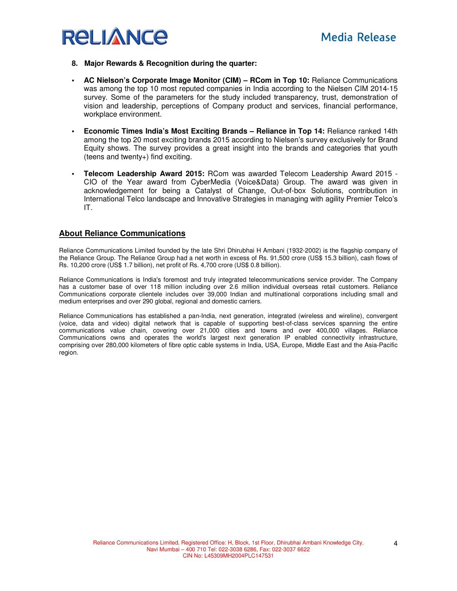

- **8. Major Rewards & Recognition during the quarter:**
- **AC Nielson's Corporate Image Monitor (CIM) RCom in Top 10:** Reliance Communications was among the top 10 most reputed companies in India according to the Nielsen CIM 2014-15 survey. Some of the parameters for the study included transparency, trust, demonstration of vision and leadership, perceptions of Company product and services, financial performance, workplace environment.
- **Economic Times India's Most Exciting Brands Reliance in Top 14:** Reliance ranked 14th among the top 20 most exciting brands 2015 according to Nielsen's survey exclusively for Brand Equity shows. The survey provides a great insight into the brands and categories that youth (teens and twenty+) find exciting.
- **Telecom Leadership Award 2015:** RCom was awarded Telecom Leadership Award 2015 CIO of the Year award from CyberMedia (Voice&Data) Group. The award was given in acknowledgement for being a Catalyst of Change, Out-of-box Solutions, contribution in International Telco landscape and Innovative Strategies in managing with agility Premier Telco's IT.

## **About Reliance Communications**

Reliance Communications Limited founded by the late Shri Dhirubhai H Ambani (1932-2002) is the flagship company of the Reliance Group. The Reliance Group had a net worth in excess of Rs. 91,500 crore (US\$ 15.3 billion), cash flows of Rs. 10,200 crore (US\$ 1.7 billion), net profit of Rs. 4,700 crore (US\$ 0.8 billion).

Reliance Communications is India's foremost and truly integrated telecommunications service provider. The Company has a customer base of over 118 million including over 2.6 million individual overseas retail customers. Reliance Communications corporate clientele includes over 39,000 Indian and multinational corporations including small and medium enterprises and over 290 global, regional and domestic carriers.

Reliance Communications has established a pan-India, next generation, integrated (wireless and wireline), convergent (voice, data and video) digital network that is capable of supporting best-of-class services spanning the entire communications value chain, covering over 21,000 cities and towns and over 400,000 villages. Reliance Communications owns and operates the world's largest next generation IP enabled connectivity infrastructure, comprising over 280,000 kilometers of fibre optic cable systems in India, USA, Europe, Middle East and the Asia-Pacific region.